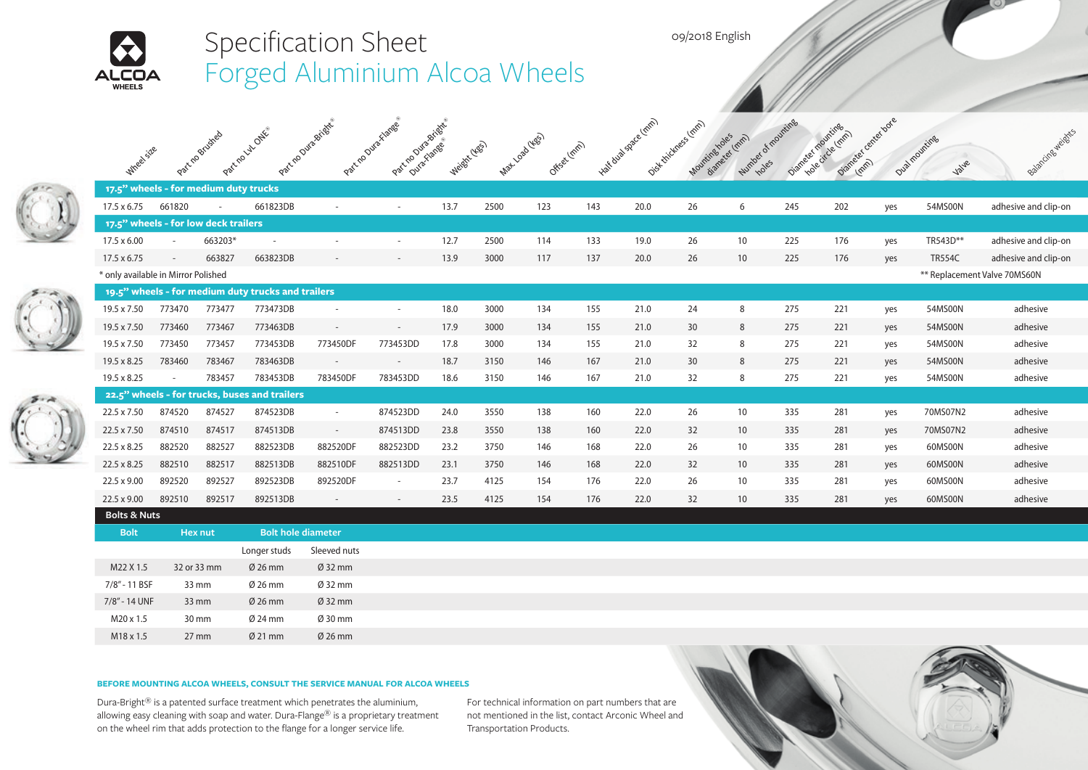

## **BEFORE MOUNTING ALCOA WHEELS, CONSULT THE SERVICE MANUAL FOR ALCOA WHEELS**

Dura-Bright® is a patented surface treatment which penetrates the aluminium, allowing easy cleaning with soap and water. Dura-Flange® is a proprietary treatment on the wheel rim that adds protection to the flange for a longer service life.

For technical information on part numbers that are not mentioned in the list, contact Arconic Wheel and Transportation Products.